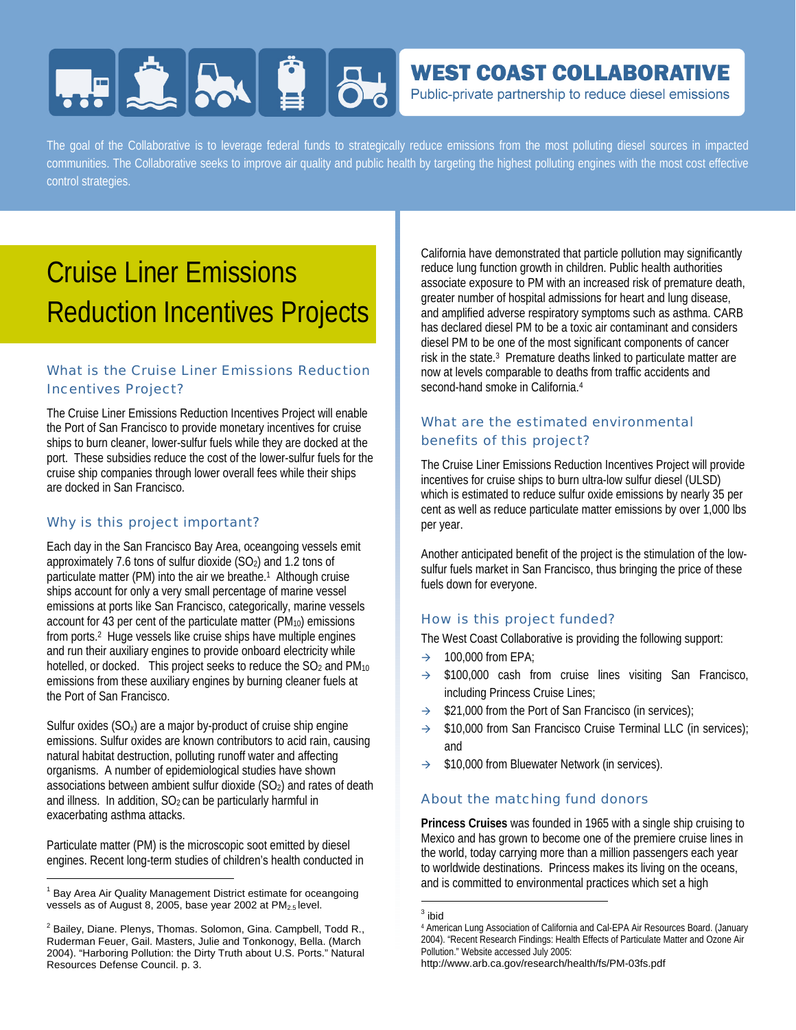# **HERE SAILE 86**

### **WEST COAST COLLABORATIVE**

Public-private partnership to reduce diesel emissions

The goal of the Collaborative is to leverage federal funds to strategically reduce emissions from the most polluting diesel sources in impacted communities. The Collaborative seeks to improve air quality and public health by targeting the highest polluting engines with the most cost effective control strategies.

## Cruise Liner Emissions Reduction Incentives Projects

#### What is the Cruise Liner Emissions Reduction Incentives Project?

The Cruise Liner Emissions Reduction Incentives Project will enable the Port of San Francisco to provide monetary incentives for cruise ships to burn cleaner, lower-sulfur fuels while they are docked at the port. These subsidies reduce the cost of the lower-sulfur fuels for the cruise ship companies through lower overall fees while their ships are docked in San Francisco.

#### Why is this project important?

Each day in the San Francisco Bay Area, oceangoing vessels emit approximately 7.6 tons of sulfur dioxide  $(SO<sub>2</sub>)$  and 1.2 tons of particulate matter (PM) into the air we breathe.1 Although cruise ships account for only a very small percentage of marine vessel emissions at ports like San Francisco, categorically, marine vessels account for 43 per cent of the particulate matter  $(PM_{10})$  emissions from ports.2 Huge vessels like cruise ships have multiple engines and run their auxiliary engines to provide onboard electricity while hotelled, or docked. This project seeks to reduce the SO<sub>2</sub> and PM<sub>10</sub> emissions from these auxiliary engines by burning cleaner fuels at the Port of San Francisco.

Sulfur oxides  $(SO_x)$  are a major by-product of cruise ship engine emissions. Sulfur oxides are known contributors to acid rain, causing natural habitat destruction, polluting runoff water and affecting organisms. A number of epidemiological studies have shown associations between ambient sulfur dioxide (SO<sub>2</sub>) and rates of death and illness. In addition, SO<sub>2</sub> can be particularly harmful in exacerbating asthma attacks.

Particulate matter (PM) is the microscopic soot emitted by diesel engines. Recent long-term studies of children's health conducted in

l

California have demonstrated that particle pollution may significantly reduce lung function growth in children. Public health authorities associate exposure to PM with an increased risk of premature death, greater number of hospital admissions for heart and lung disease, and amplified adverse respiratory symptoms such as asthma. CARB has declared diesel PM to be a toxic air contaminant and considers diesel PM to be one of the most significant components of cancer risk in the state.3 Premature deaths linked to particulate matter are now at levels comparable to deaths from traffic accidents and second-hand smoke in California.<sup>4</sup>

#### What are the estimated environmental benefits of this project?

The Cruise Liner Emissions Reduction Incentives Project will provide incentives for cruise ships to burn ultra-low sulfur diesel (ULSD) which is estimated to reduce sulfur oxide emissions by nearly 35 per cent as well as reduce particulate matter emissions by over 1,000 lbs per year.

Another anticipated benefit of the project is the stimulation of the lowsulfur fuels market in San Francisco, thus bringing the price of these fuels down for everyone.

#### How is this project funded?

The West Coast Collaborative is providing the following support:

- $\rightarrow$  100,000 from EPA:
- $\rightarrow$  \$100,000 cash from cruise lines visiting San Francisco, including Princess Cruise Lines;
- \$21,000 from the Port of San Francisco (in services);
- $\rightarrow$  \$10,000 from San Francisco Cruise Terminal LLC (in services); and
- $\rightarrow$  \$10,000 from Bluewater Network (in services).

#### About the matching fund donors

**Princess Cruises** was founded in 1965 with a single ship cruising to Mexico and has grown to become one of the premiere cruise lines in the world, today carrying more than a million passengers each year to worldwide destinations. Princess makes its living on the oceans, and is committed to environmental practices which set a high

l

http://www.arb.ca.gov/research/health/fs/PM-03fs.pdf

<sup>&</sup>lt;sup>1</sup> Bay Area Air Quality Management District estimate for oceangoing vessels as of August 8, 2005, base year 2002 at PM<sub>2.5</sub> level.

 $^2$  Bailey, Diane. Plenys, Thomas. Solomon, Gina. Campbell, Todd R., Ruderman Feuer, Gail. Masters, Julie and Tonkonogy, Bella. (March 2004). "Harboring Pollution: the Dirty Truth about U.S. Ports." Natural Resources Defense Council. p. 3.

 $^3$  ibid

<sup>4</sup> American Lung Association of California and Cal-EPA Air Resources Board. (January 2004). "Recent Research Findings: Health Effects of Particulate Matter and Ozone Air Pollution." Website accessed July 2005: